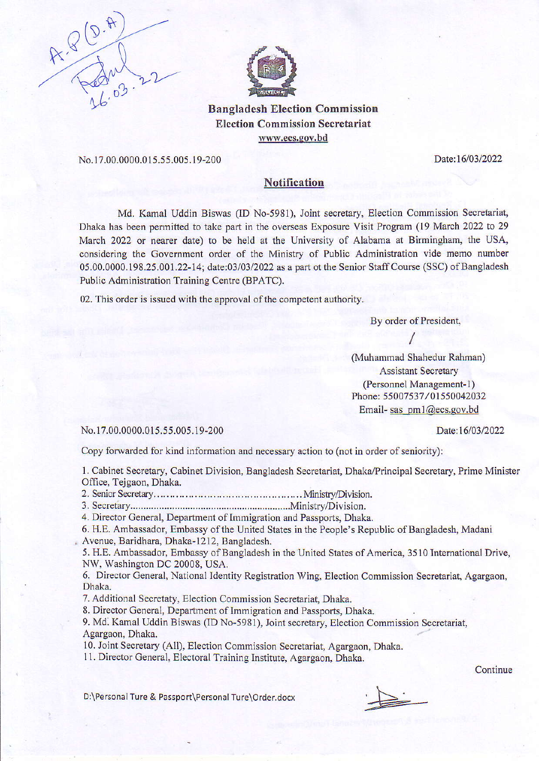



Elcction Commission Secretariat www.ecs.gov.bd

No.17.00.0000.015.55.005.19-200 Date:16/03/2022

## **Notification**

Md. Kamal Uddin Biswas (ID No-5981), Joint secretary, Eleotion Commission Seoretariat, Dhaka has been permitted to take part in the overseas Exposure Visit Program (19 March 2022 to 29 March 2022 or nearer date) to be held at the University of Alabama at Birmingham, the USA, considering the Government order of the Ministry of Public Administration vide memo number 05.00.0000.198.25.001.22-14; date:03/03/2022 as a part ot the Senior Staff Course (SSC) of Bangladesh Public Administration Training Centre (BPATC).

02. This order is issued with the approval of the competent authority.

By order of President,

(Muhammad Shahedur Rahman) Assistant Secretary (Personnel Management- I) Phone: 55007537/01550042032 Email- sas om1@ecs.pov.bd

No. 17.00.0000.015.55.005.19-200 Date:16/03/2022

Copy forwarded for kind information and necessary action to (not in order of seniority):

1. Cabinet Secretary, Cabinet Division, Bangladesh Secretariat, Dhale/Principal Secretary, Prime Minister Office, Tejgaon, Dhaka.

2. Senior Secretary.....,. ...... .. .. MinisbyDivision.

3. Secretbry.......,......,., ........MinistryDivision.

4. Director General, Departrnent of Immigration and Passports, Dhaka.

6. H.E. Ambassador, Embassy of the United States in the People's Republic of Bangladesh, Madani , Avenue, Baridhara, Dhaka-1212, Bangladesh.

5. H.E. Ambassador, Embassy of Bangladesh in the United States of America, 3510 International Drive, NW. Washington DC 20008, USA.

6. Director Ceneral, National ldentity Registration Wing, Election Commission Secretariat, Agargaon, Dhaka.

7. Additional Secretaty, Election Commission Secretariat, Dhaka.

8. Director General, Department of Immigration and Passports, Dhaka.

9. Md. Kamal Uddin Biswas (ID No-5981), Joint secretary, Election Commission Secretarial, Agargaon, Dhaka.

10. Joint Secretary (All), Election Commission Secretariat, Agargaon, Dhaka.

11. Direetor Ceneral, Electoral Training Institute, Agargaon, Dhaka.

**Continue** 

D:\Personal Ture & Passport\Personal Ture\Order.docx